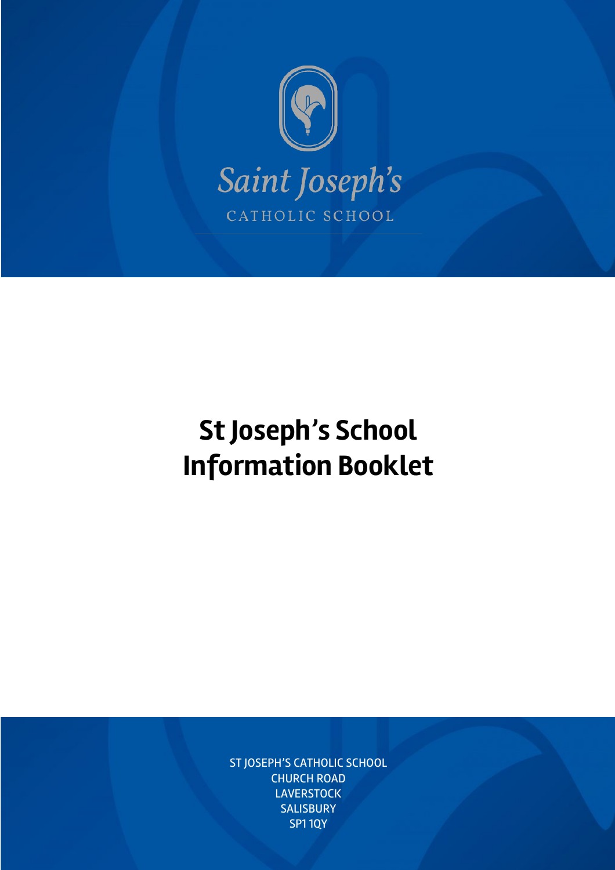

# **St Joseph's School Information Booklet**

ST JOSEPH'S CATHOLIC SCHOOL CHURCH ROAD LAVERSTOCK **SALISBURY** SP1 1QY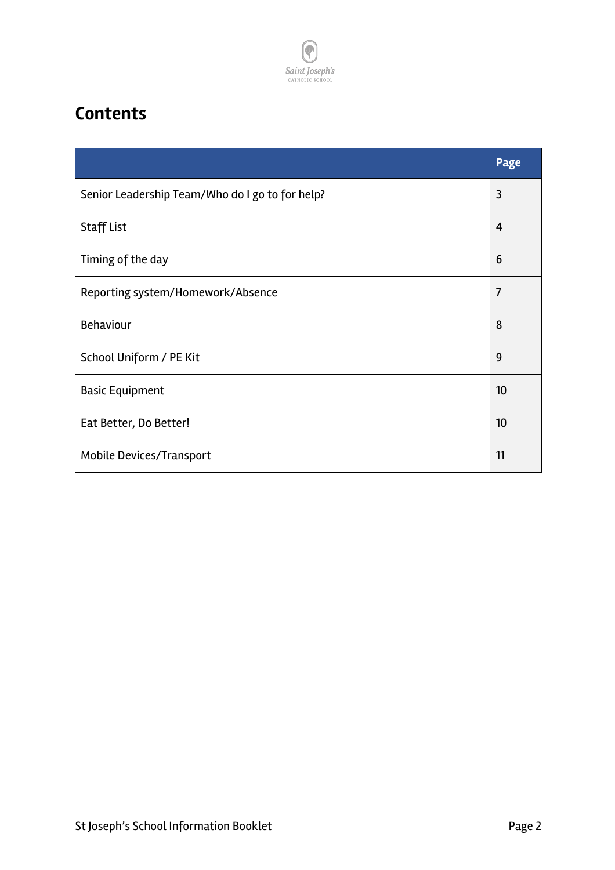

### **Contents**

|                                                 | Page           |
|-------------------------------------------------|----------------|
| Senior Leadership Team/Who do I go to for help? | 3              |
| <b>Staff List</b>                               | $\overline{4}$ |
| Timing of the day                               | 6              |
| Reporting system/Homework/Absence               | $\overline{7}$ |
| <b>Behaviour</b>                                | 8              |
| School Uniform / PE Kit                         | 9              |
| <b>Basic Equipment</b>                          | 10             |
| Eat Better, Do Better!                          | 10             |
| Mobile Devices/Transport                        | 11             |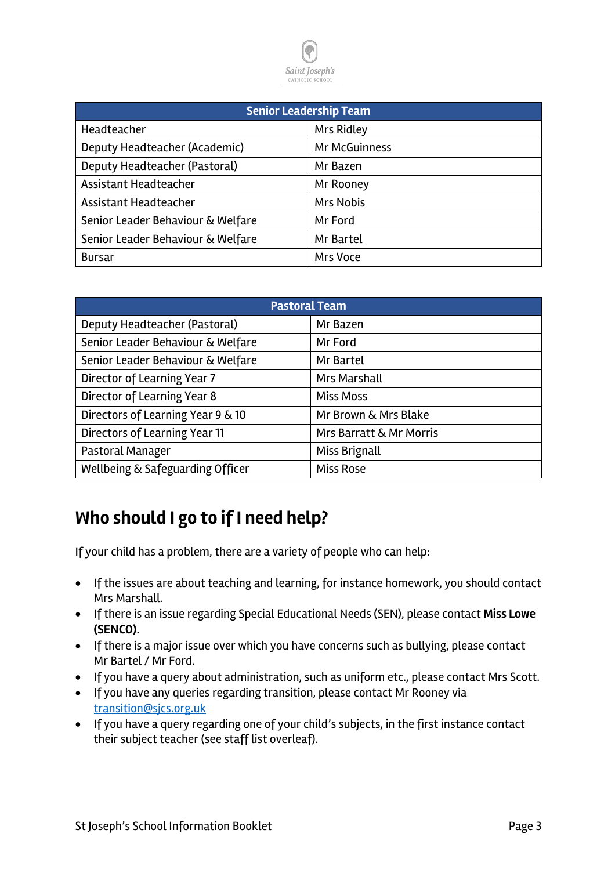

| <b>Senior Leadership Team</b>     |                  |  |  |
|-----------------------------------|------------------|--|--|
| Headteacher                       | Mrs Ridley       |  |  |
| Deputy Headteacher (Academic)     | Mr McGuinness    |  |  |
| Deputy Headteacher (Pastoral)     | Mr Bazen         |  |  |
| Assistant Headteacher             | Mr Rooney        |  |  |
| Assistant Headteacher             | <b>Mrs Nobis</b> |  |  |
| Senior Leader Behaviour & Welfare | Mr Ford          |  |  |
| Senior Leader Behaviour & Welfare | Mr Bartel        |  |  |
| <b>Bursar</b>                     | Mrs Voce         |  |  |

| <b>Pastoral Team</b>              |                         |  |  |
|-----------------------------------|-------------------------|--|--|
| Deputy Headteacher (Pastoral)     | Mr Bazen                |  |  |
| Senior Leader Behaviour & Welfare | Mr Ford                 |  |  |
| Senior Leader Behaviour & Welfare | Mr Bartel               |  |  |
| Director of Learning Year 7       | <b>Mrs Marshall</b>     |  |  |
| Director of Learning Year 8       | <b>Miss Moss</b>        |  |  |
| Directors of Learning Year 9 & 10 | Mr Brown & Mrs Blake    |  |  |
| Directors of Learning Year 11     | Mrs Barratt & Mr Morris |  |  |
| Pastoral Manager                  | Miss Brignall           |  |  |
| Wellbeing & Safeguarding Officer  | <b>Miss Rose</b>        |  |  |

#### **Who should I go to if I need help?**

If your child has a problem, there are a variety of people who can help:

- If the issues are about teaching and learning, for instance homework, you should contact Mrs Marshall.
- If there is an issue regarding Special Educational Needs (SEN), please contact **Miss Lowe (SENCO)**.
- If there is a major issue over which you have concerns such as bullying, please contact Mr Bartel / Mr Ford.
- If you have a query about administration, such as uniform etc., please contact Mrs Scott.
- If you have any queries regarding transition, please contact Mr Rooney via transition@sjcs.org.uk
- If you have a query regarding one of your child's subjects, in the first instance contact their subject teacher (see staff list overleaf).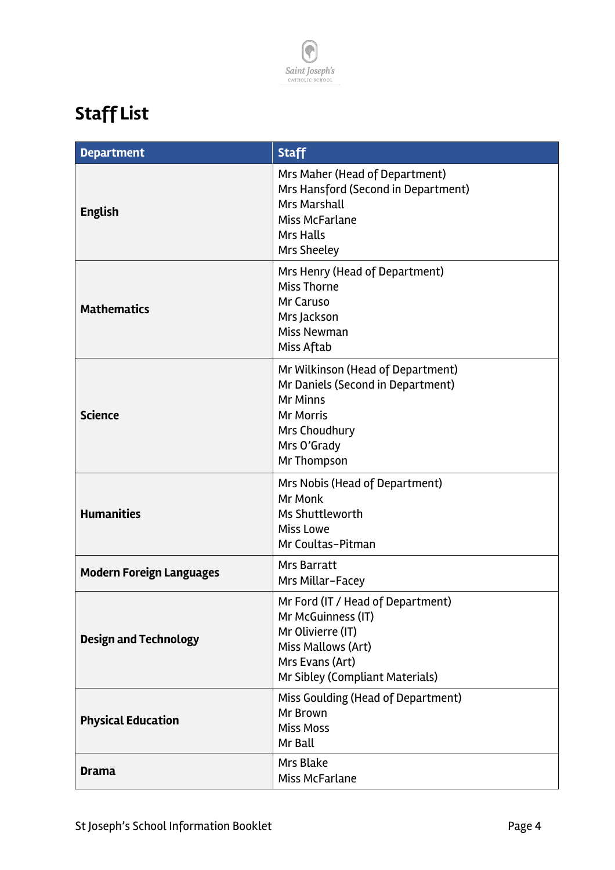

## **Staff List**

| <b>Department</b>               | <b>Staff</b>                                                                                                                                                 |  |
|---------------------------------|--------------------------------------------------------------------------------------------------------------------------------------------------------------|--|
| <b>English</b>                  | Mrs Maher (Head of Department)<br>Mrs Hansford (Second in Department)<br><b>Mrs Marshall</b><br>Miss McFarlane<br><b>Mrs Halls</b><br>Mrs Sheeley            |  |
| <b>Mathematics</b>              | Mrs Henry (Head of Department)<br><b>Miss Thorne</b><br>Mr Caruso<br>Mrs Jackson<br>Miss Newman<br>Miss Aftab                                                |  |
| <b>Science</b>                  | Mr Wilkinson (Head of Department)<br>Mr Daniels (Second in Department)<br><b>Mr Minns</b><br><b>Mr Morris</b><br>Mrs Choudhury<br>Mrs O'Grady<br>Mr Thompson |  |
| <b>Humanities</b>               | Mrs Nobis (Head of Department)<br>Mr Monk<br>Ms Shuttleworth<br><b>Miss Lowe</b><br>Mr Coultas-Pitman                                                        |  |
| <b>Modern Foreign Languages</b> | <b>Mrs Barratt</b><br>Mrs Millar-Facey                                                                                                                       |  |
| <b>Design and Technology</b>    | Mr Ford (IT / Head of Department)<br>Mr McGuinness (IT)<br>Mr Olivierre (IT)<br>Miss Mallows (Art)<br>Mrs Evans (Art)<br>Mr Sibley (Compliant Materials)     |  |
| <b>Physical Education</b>       | Miss Goulding (Head of Department)<br>Mr Brown<br><b>Miss Moss</b><br>Mr Ball                                                                                |  |
| <b>Drama</b>                    | Mrs Blake<br>Miss McFarlane                                                                                                                                  |  |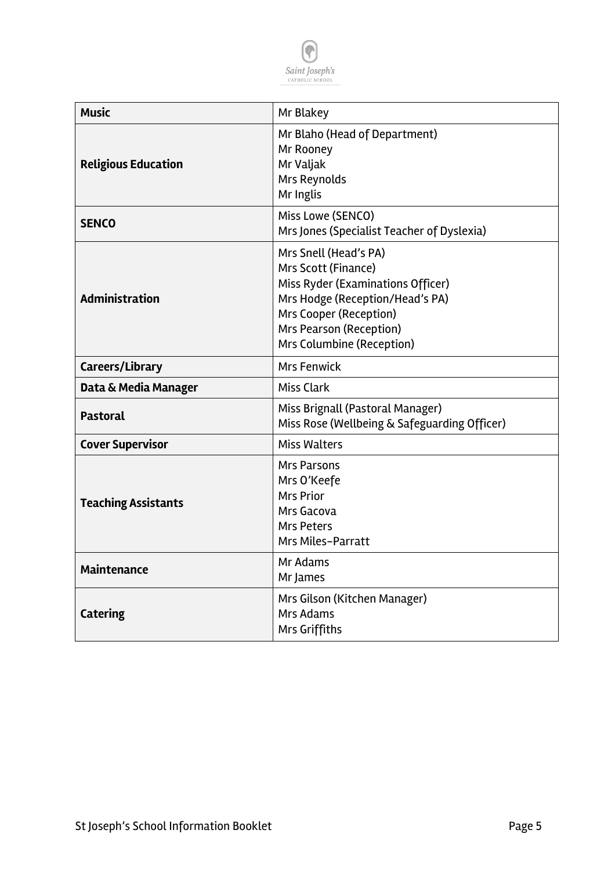

| <b>Music</b>               | Mr Blakey                                                                                                                                                                                              |  |  |
|----------------------------|--------------------------------------------------------------------------------------------------------------------------------------------------------------------------------------------------------|--|--|
| <b>Religious Education</b> | Mr Blaho (Head of Department)<br>Mr Rooney<br>Mr Valjak<br>Mrs Reynolds<br>Mr Inglis                                                                                                                   |  |  |
| <b>SENCO</b>               | Miss Lowe (SENCO)<br>Mrs Jones (Specialist Teacher of Dyslexia)                                                                                                                                        |  |  |
| <b>Administration</b>      | Mrs Snell (Head's PA)<br>Mrs Scott (Finance)<br>Miss Ryder (Examinations Officer)<br>Mrs Hodge (Reception/Head's PA)<br>Mrs Cooper (Reception)<br>Mrs Pearson (Reception)<br>Mrs Columbine (Reception) |  |  |
| Careers/Library            | <b>Mrs Fenwick</b>                                                                                                                                                                                     |  |  |
| Data & Media Manager       | <b>Miss Clark</b>                                                                                                                                                                                      |  |  |
| <b>Pastoral</b>            | Miss Brignall (Pastoral Manager)<br>Miss Rose (Wellbeing & Safeguarding Officer)                                                                                                                       |  |  |
| <b>Cover Supervisor</b>    | <b>Miss Walters</b>                                                                                                                                                                                    |  |  |
| <b>Teaching Assistants</b> | <b>Mrs Parsons</b><br>Mrs O'Keefe<br><b>Mrs Prior</b><br>Mrs Gacova<br>Mrs Peters<br>Mrs Miles-Parratt                                                                                                 |  |  |
| <b>Maintenance</b>         | Mr Adams<br>Mr James                                                                                                                                                                                   |  |  |
| <b>Catering</b>            | Mrs Gilson (Kitchen Manager)<br>Mrs Adams<br>Mrs Griffiths                                                                                                                                             |  |  |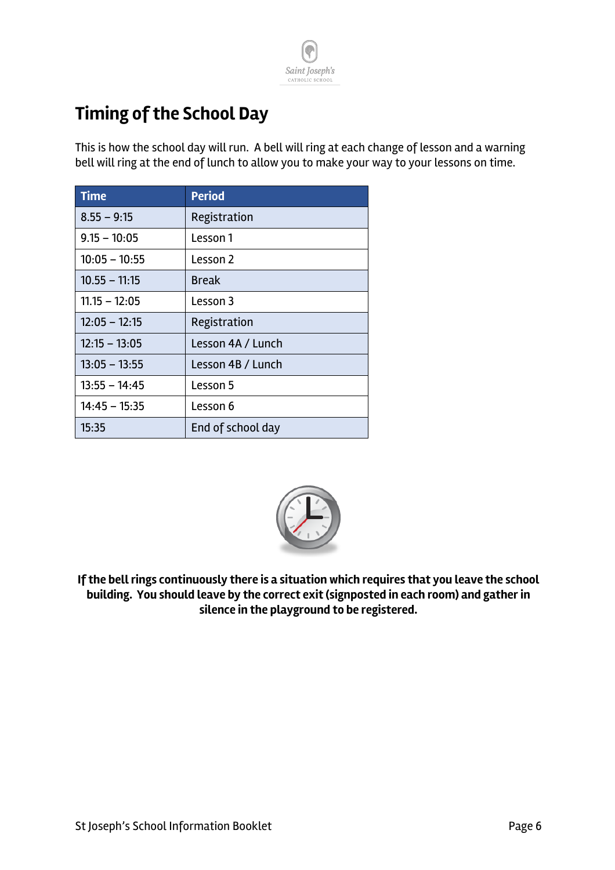

### **Timing of the School Day**

This is how the school day will run. A bell will ring at each change of lesson and a warning bell will ring at the end of lunch to allow you to make your way to your lessons on time.

| <b>Time</b>     | <b>Period</b>     |
|-----------------|-------------------|
| $8.55 - 9:15$   | Registration      |
| $9.15 - 10:05$  | Lesson 1          |
| $10:05 - 10:55$ | Lesson 2          |
| $10.55 - 11:15$ | <b>Break</b>      |
| $11.15 - 12:05$ | Lesson 3          |
| $12:05 - 12:15$ | Registration      |
| $12:15 - 13:05$ | Lesson 4A / Lunch |
| $13:05 - 13:55$ | Lesson 4B / Lunch |
| $13:55 - 14:45$ | Lesson 5          |
| $14:45 - 15:35$ | Lesson 6          |
| 15:35           | End of school day |



**If the bell rings continuously there is a situation which requires that you leave the school building. You should leave by the correct exit (signposted in each room) and gather in silence in the playground to be registered.**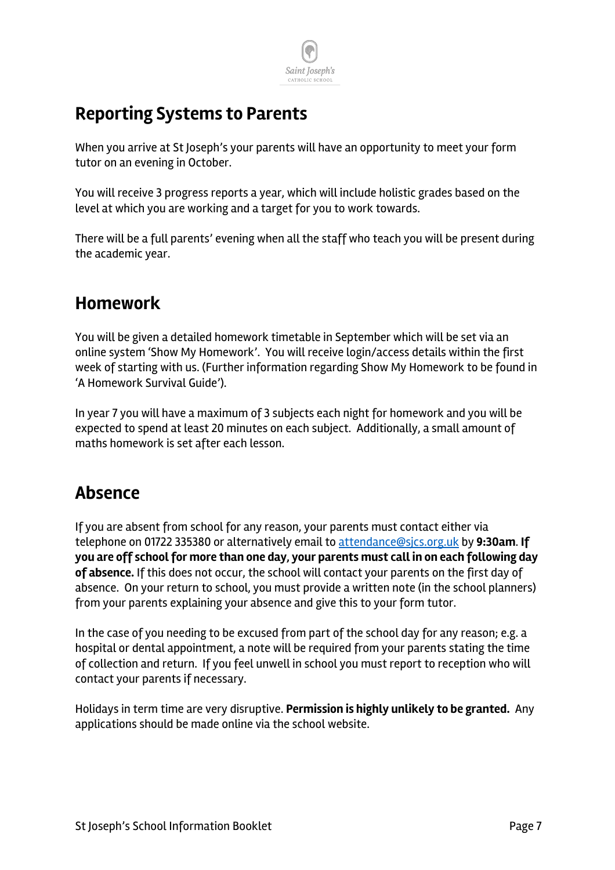

#### **Reporting Systems to Parents**

When you arrive at St Joseph's your parents will have an opportunity to meet your form tutor on an evening in October.

You will receive 3 progress reports a year, which will include holistic grades based on the level at which you are working and a target for you to work towards.

There will be a full parents' evening when all the staff who teach you will be present during the academic year.

#### **Homework**

You will be given a detailed homework timetable in September which will be set via an online system 'Show My Homework'. You will receive login/access details within the first week of starting with us. (Further information regarding Show My Homework to be found in 'A Homework Survival Guide').

In year 7 you will have a maximum of 3 subjects each night for homework and you will be expected to spend at least 20 minutes on each subject. Additionally, a small amount of maths homework is set after each lesson.

#### **Absence**

If you are absent from school for any reason, your parents must contact either via telephone on 01722 335380 or alternatively email to attendance@sjcs.org.uk by **9:30am**. **If you are off school for more than one day, your parents must call in on each following day of absence.** If this does not occur, the school will contact your parents on the first day of absence. On your return to school, you must provide a written note (in the school planners) from your parents explaining your absence and give this to your form tutor.

In the case of you needing to be excused from part of the school day for any reason; e.g. a hospital or dental appointment, a note will be required from your parents stating the time of collection and return. If you feel unwell in school you must report to reception who will contact your parents if necessary.

Holidays in term time are very disruptive. **Permission is highly unlikely to be granted.** Any applications should be made online via the school website.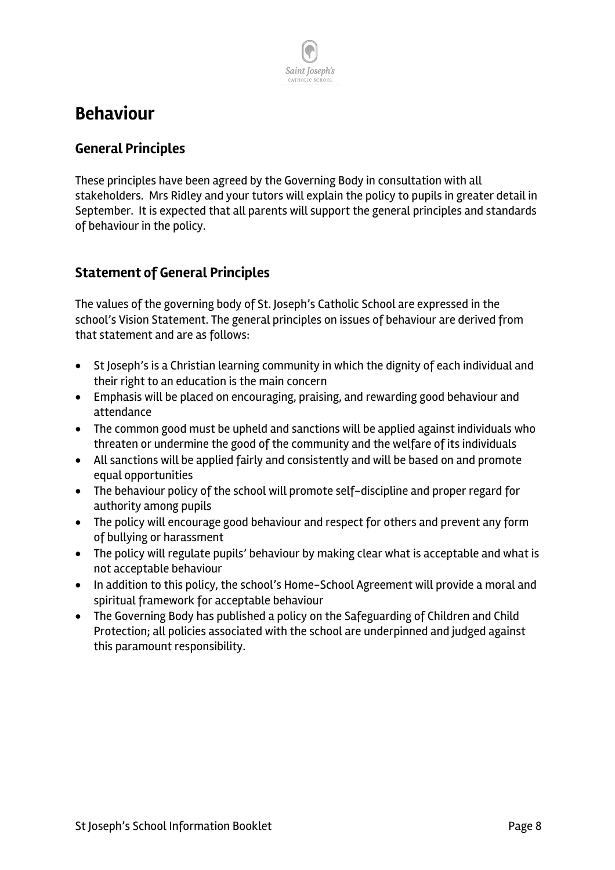### Saint Joseph's CATHOLIC SCHOL

#### **Behaviour**

#### **General Principles**

These principles have been agreed by the Governing Body in consultation with all stakeholders. Mrs Ridley and your tutors will explain the policy to pupils in greater detail in September. It is expected that all parents will support the general principles and standards of behaviour in the policy.

#### **Statement of General Principles**

The values of the governing body of St. Joseph's Catholic School are expressed in the school's Vision Statement. The general principles on issues of behaviour are derived from that statement and are as follows:

- St Joseph's is a Christian learning community in which the dignity of each individual and their right to an education is the main concern
- Emphasis will be placed on encouraging, praising, and rewarding good behaviour and attendance
- The common good must be upheld and sanctions will be applied against individuals who threaten or undermine the good of the community and the welfare of its individuals
- All sanctions will be applied fairly and consistently and will be based on and promote equal opportunities
- The behaviour policy of the school will promote self-discipline and proper regard for authority among pupils
- The policy will encourage good behaviour and respect for others and prevent any form of bullying or harassment
- The policy will regulate pupils' behaviour by making clear what is acceptable and what is not acceptable behaviour
- In addition to this policy, the school's Home-School Agreement will provide a moral and spiritual framework for acceptable behaviour
- The Governing Body has published a policy on the Safeguarding of Children and Child Protection; all policies associated with the school are underpinned and judged against this paramount responsibility.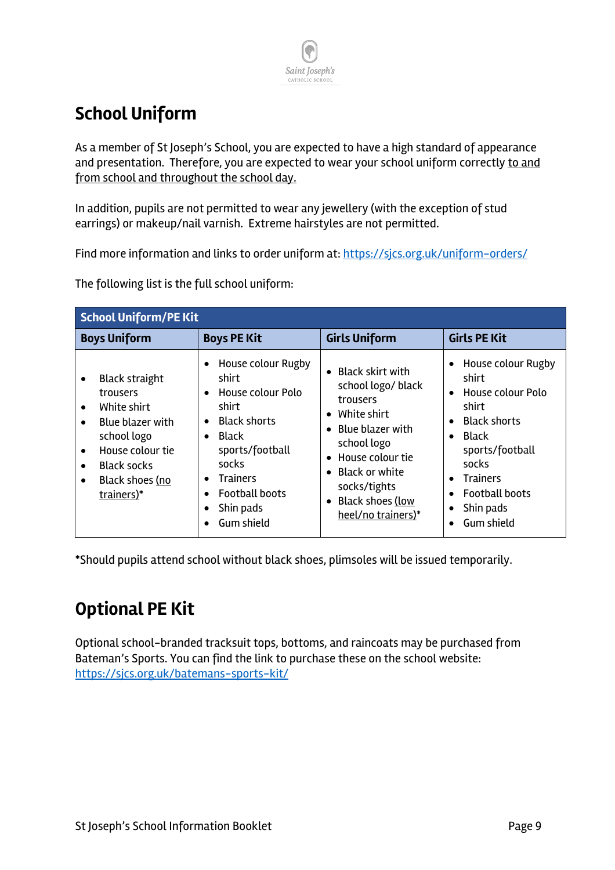

### **School Uniform**

As a member of St Joseph's School, you are expected to have a high standard of appearance and presentation. Therefore, you are expected to wear your school uniform correctly to and from school and throughout the school day.

In addition, pupils are not permitted to wear any jewellery (with the exception of stud earrings) or makeup/nail varnish. Extreme hairstyles are not permitted.

Find more information and links to order uniform at: https://sjcs.org.uk/uniform-orders/

The following list is the full school uniform:

| <b>School Uniform/PE Kit</b>                                                                                                                                                                                                                 |                                                                                                                                                                                                                        |                                                                                                                                                                                                                                                                                   |                                                                                                                                                                                                                                                                            |  |
|----------------------------------------------------------------------------------------------------------------------------------------------------------------------------------------------------------------------------------------------|------------------------------------------------------------------------------------------------------------------------------------------------------------------------------------------------------------------------|-----------------------------------------------------------------------------------------------------------------------------------------------------------------------------------------------------------------------------------------------------------------------------------|----------------------------------------------------------------------------------------------------------------------------------------------------------------------------------------------------------------------------------------------------------------------------|--|
| <b>Boys Uniform</b>                                                                                                                                                                                                                          | <b>Boys PE Kit</b>                                                                                                                                                                                                     | <b>Girls Uniform</b>                                                                                                                                                                                                                                                              | <b>Girls PE Kit</b>                                                                                                                                                                                                                                                        |  |
| <b>Black straight</b><br>$\bullet$<br>trousers<br>White shirt<br>$\bullet$<br>Blue blazer with<br>$\bullet$<br>school logo<br>House colour tie<br>$\bullet$<br><b>Black socks</b><br>$\bullet$<br>Black shoes (no<br>$\bullet$<br>trainers)* | House colour Rugby<br>shirt<br>House colour Polo<br>shirt<br><b>Black shorts</b><br>$\bullet$<br>Black<br>$\bullet$<br>sports/football<br>socks<br><b>Trainers</b><br><b>Football boots</b><br>Shin pads<br>Gum shield | Black skirt with<br>$\bullet$<br>school logo/ black<br>trousers<br>White shirt<br>$\bullet$<br>Blue blazer with<br>$\bullet$<br>school logo<br>House colour tie<br>$\bullet$<br><b>Black or white</b><br>٠<br>socks/tights<br>Black shoes (low<br>$\bullet$<br>heel/no trainers)* | House colour Rugby<br>$\bullet$<br>shirt<br>House colour Polo<br>$\bullet$<br>shirt<br><b>Black shorts</b><br>$\bullet$<br>Black<br>$\bullet$<br>sports/football<br>socks<br><b>Trainers</b><br>$\bullet$<br><b>Football boots</b><br>Shin pads<br>$\bullet$<br>Gum shield |  |

\*Should pupils attend school without black shoes, plimsoles will be issued temporarily.

### **Optional PE Kit**

Optional school-branded tracksuit tops, bottoms, and raincoats may be purchased from Bateman's Sports. You can find the link to purchase these on the school website: https://sjcs.org.uk/batemans-sports-kit/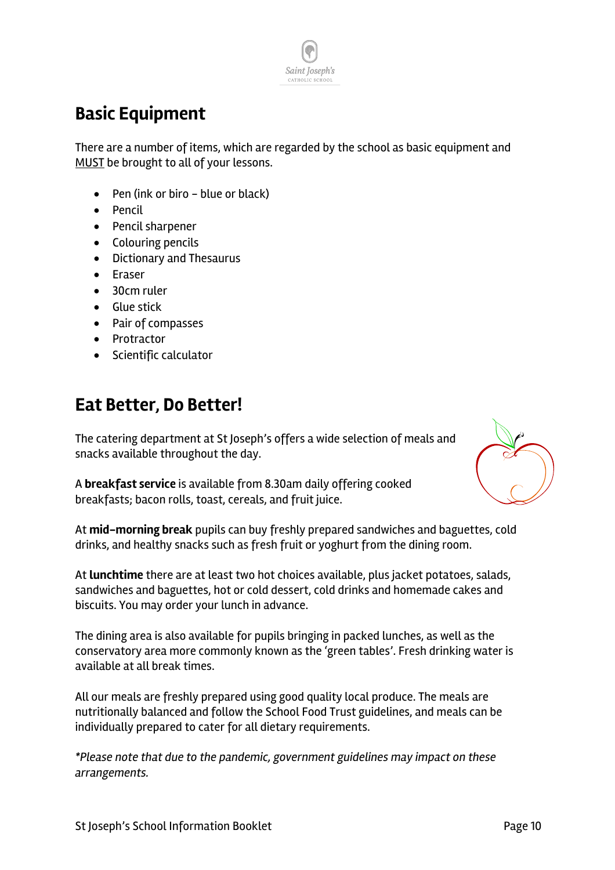

### **Basic Equipment**

There are a number of items, which are regarded by the school as basic equipment and MUST be brought to all of your lessons.

- Pen (ink or biro blue or black)
- Pencil
- Pencil sharpener
- Colouring pencils
- Dictionary and Thesaurus
- Eraser
- 30cm ruler
- Glue stick
- Pair of compasses
- Protractor
- Scientific calculator

#### **Eat Better, Do Better!**

The catering department at St Joseph's offers a wide selection of meals and snacks available throughout the day.



A **breakfast service** is available from 8.30am daily offering cooked breakfasts; bacon rolls, toast, cereals, and fruit juice.

At **mid-morning break** pupils can buy freshly prepared sandwiches and baguettes, cold drinks, and healthy snacks such as fresh fruit or yoghurt from the dining room.

At **lunchtime** there are at least two hot choices available, plus jacket potatoes, salads, sandwiches and baguettes, hot or cold dessert, cold drinks and homemade cakes and biscuits. You may order your lunch in advance.

The dining area is also available for pupils bringing in packed lunches, as well as the conservatory area more commonly known as the 'green tables'. Fresh drinking water is available at all break times.

All our meals are freshly prepared using good quality local produce. The meals are nutritionally balanced and follow the School Food Trust guidelines, and meals can be individually prepared to cater for all dietary requirements.

*\*Please note that due to the pandemic, government guidelines may impact on these arrangements.*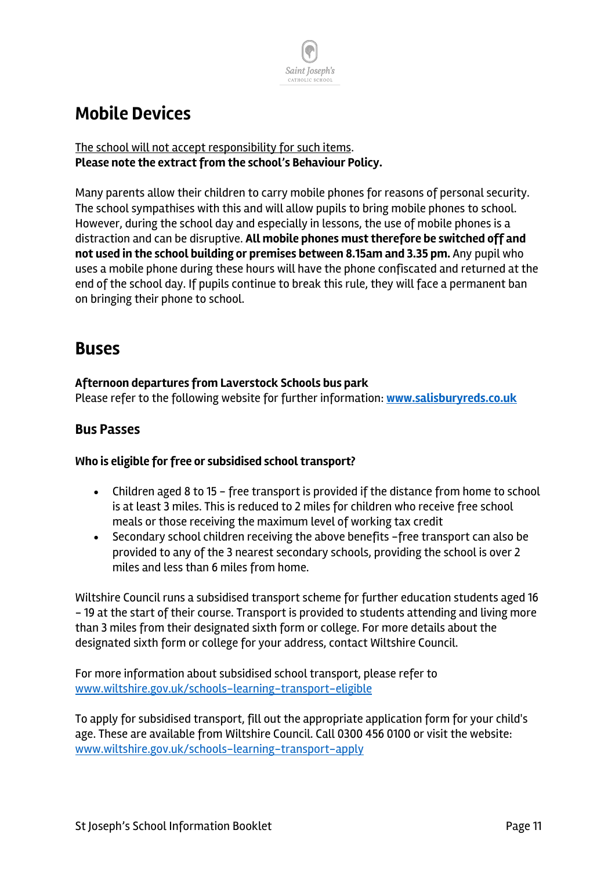

#### **Mobile Devices**

#### The school will not accept responsibility for such items. **Please note the extract from the school's Behaviour Policy.**

Many parents allow their children to carry mobile phones for reasons of personal security. The school sympathises with this and will allow pupils to bring mobile phones to school. However, during the school day and especially in lessons, the use of mobile phones is a distraction and can be disruptive. **All mobile phones must therefore be switched off and not used in the school building or premises between 8.15am and 3.35 pm.** Any pupil who uses a mobile phone during these hours will have the phone confiscated and returned at the end of the school day. If pupils continue to break this rule, they will face a permanent ban on bringing their phone to school.

#### **Buses**

#### **Afternoon departures from Laverstock Schools bus park**

Please refer to the following website for further information: **www.salisburyreds.co.uk**

#### **Bus Passes**

#### **Who is eligible for free or subsidised school transport?**

- Children aged 8 to 15 free transport is provided if the distance from home to school is at least 3 miles. This is reduced to 2 miles for children who receive free school meals or those receiving the maximum level of working tax credit
- Secondary school children receiving the above benefits -free transport can also be provided to any of the 3 nearest secondary schools, providing the school is over 2 miles and less than 6 miles from home.

Wiltshire Council runs a subsidised transport scheme for further education students aged 16 - 19 at the start of their course. Transport is provided to students attending and living more than 3 miles from their designated sixth form or college. For more details about the designated sixth form or college for your address, contact Wiltshire Council.

For more information about subsidised school transport, please refer to www.wiltshire.gov.uk/schools-learning-transport-eligible

To apply for subsidised transport, fill out the appropriate application form for your child's age. These are available from Wiltshire Council. Call 0300 456 0100 or visit the website: www.wiltshire.gov.uk/schools-learning-transport-apply